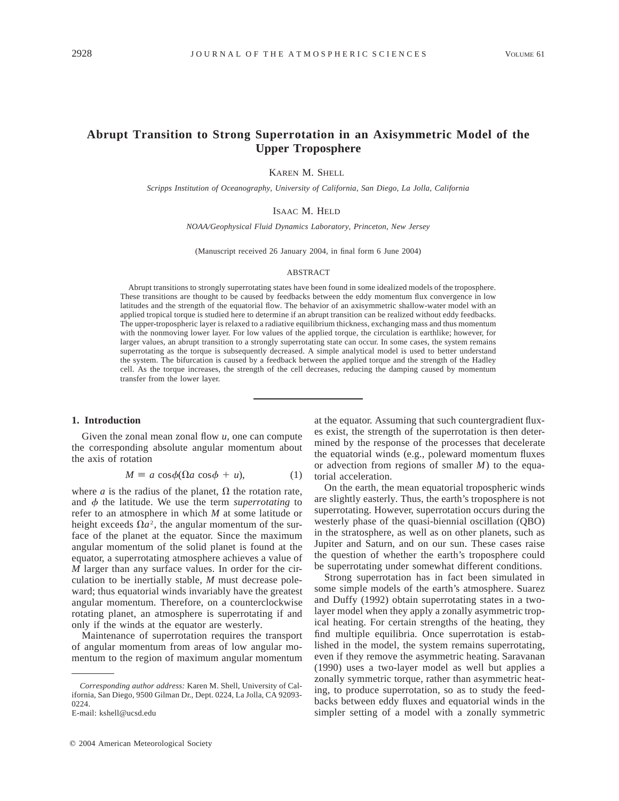# **Abrupt Transition to Strong Superrotation in an Axisymmetric Model of the Upper Troposphere**

KAREN M. SHELL

*Scripps Institution of Oceanography, University of California, San Diego, La Jolla, California*

## ISAAC M. HELD

*NOAA/Geophysical Fluid Dynamics Laboratory, Princeton, New Jersey*

(Manuscript received 26 January 2004, in final form 6 June 2004)

#### ABSTRACT

Abrupt transitions to strongly superrotating states have been found in some idealized models of the troposphere. These transitions are thought to be caused by feedbacks between the eddy momentum flux convergence in low latitudes and the strength of the equatorial flow. The behavior of an axisymmetric shallow-water model with an applied tropical torque is studied here to determine if an abrupt transition can be realized without eddy feedbacks. The upper-tropospheric layer is relaxed to a radiative equilibrium thickness, exchanging mass and thus momentum with the nonmoving lower layer. For low values of the applied torque, the circulation is earthlike; however, for larger values, an abrupt transition to a strongly superrotating state can occur. In some cases, the system remains superrotating as the torque is subsequently decreased. A simple analytical model is used to better understand the system. The bifurcation is caused by a feedback between the applied torque and the strength of the Hadley cell. As the torque increases, the strength of the cell decreases, reducing the damping caused by momentum transfer from the lower layer.

#### **1. Introduction**

Given the zonal mean zonal flow *u,* one can compute the corresponding absolute angular momentum about the axis of rotation

$$
M \equiv a \cos \phi (\Omega a \cos \phi + u), \tag{1}
$$

where *a* is the radius of the planet,  $\Omega$  the rotation rate, and  $\phi$  the latitude. We use the term *superrotating* to refer to an atmosphere in which *M* at some latitude or height exceeds  $\Omega a^2$ , the angular momentum of the surface of the planet at the equator. Since the maximum angular momentum of the solid planet is found at the equator, a superrotating atmosphere achieves a value of *M* larger than any surface values. In order for the circulation to be inertially stable, *M* must decrease poleward; thus equatorial winds invariably have the greatest angular momentum. Therefore, on a counterclockwise rotating planet, an atmosphere is superrotating if and only if the winds at the equator are westerly.

Maintenance of superrotation requires the transport of angular momentum from areas of low angular momentum to the region of maximum angular momentum at the equator. Assuming that such countergradient fluxes exist, the strength of the superrotation is then determined by the response of the processes that decelerate the equatorial winds (e.g., poleward momentum fluxes or advection from regions of smaller *M*) to the equatorial acceleration.

On the earth, the mean equatorial tropospheric winds are slightly easterly. Thus, the earth's troposphere is not superrotating. However, superrotation occurs during the westerly phase of the quasi-biennial oscillation (QBO) in the stratosphere, as well as on other planets, such as Jupiter and Saturn, and on our sun. These cases raise the question of whether the earth's troposphere could be superrotating under somewhat different conditions.

Strong superrotation has in fact been simulated in some simple models of the earth's atmosphere. Suarez and Duffy (1992) obtain superrotating states in a twolayer model when they apply a zonally asymmetric tropical heating. For certain strengths of the heating, they find multiple equilibria. Once superrotation is established in the model, the system remains superrotating, even if they remove the asymmetric heating. Saravanan (1990) uses a two-layer model as well but applies a zonally symmetric torque, rather than asymmetric heating, to produce superrotation, so as to study the feedbacks between eddy fluxes and equatorial winds in the simpler setting of a model with a zonally symmetric

*Corresponding author address:* Karen M. Shell, University of California, San Diego, 9500 Gilman Dr., Dept. 0224, La Jolla, CA 92093- 0224.

E-mail: kshell@ucsd.edu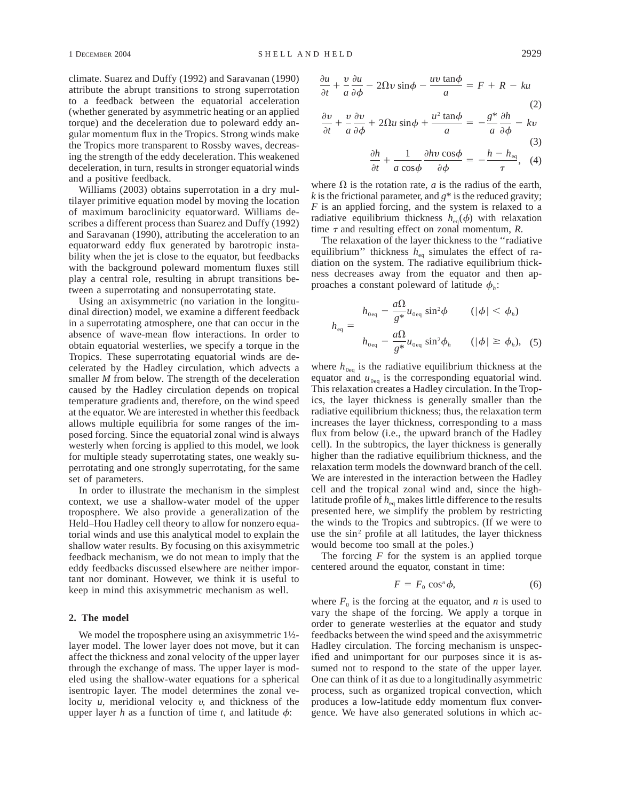climate. Suarez and Duffy (1992) and Saravanan (1990) attribute the abrupt transitions to strong superrotation to a feedback between the equatorial acceleration (whether generated by asymmetric heating or an applied torque) and the deceleration due to poleward eddy angular momentum flux in the Tropics. Strong winds make the Tropics more transparent to Rossby waves, decreasing the strength of the eddy deceleration. This weakened deceleration, in turn, results in stronger equatorial winds and a positive feedback.

Williams (2003) obtains superrotation in a dry multilayer primitive equation model by moving the location of maximum baroclinicity equatorward. Williams describes a different process than Suarez and Duffy (1992) and Saravanan (1990), attributing the acceleration to an equatorward eddy flux generated by barotropic instability when the jet is close to the equator, but feedbacks with the background poleward momentum fluxes still play a central role, resulting in abrupt transitions between a superrotating and nonsuperrotating state.

Using an axisymmetric (no variation in the longitudinal direction) model, we examine a different feedback in a superrotating atmosphere, one that can occur in the absence of wave-mean flow interactions. In order to obtain equatorial westerlies, we specify a torque in the Tropics. These superrotating equatorial winds are decelerated by the Hadley circulation, which advects a smaller *M* from below. The strength of the deceleration caused by the Hadley circulation depends on tropical temperature gradients and, therefore, on the wind speed at the equator. We are interested in whether this feedback allows multiple equilibria for some ranges of the imposed forcing. Since the equatorial zonal wind is always westerly when forcing is applied to this model, we look for multiple steady superrotating states, one weakly superrotating and one strongly superrotating, for the same set of parameters.

In order to illustrate the mechanism in the simplest context, we use a shallow-water model of the upper troposphere. We also provide a generalization of the Held–Hou Hadley cell theory to allow for nonzero equatorial winds and use this analytical model to explain the shallow water results. By focusing on this axisymmetric feedback mechanism, we do not mean to imply that the eddy feedbacks discussed elsewhere are neither important nor dominant. However, we think it is useful to keep in mind this axisymmetric mechanism as well.

### **2. The model**

We model the troposphere using an axisymmetric 1½layer model. The lower layer does not move, but it can affect the thickness and zonal velocity of the upper layer through the exchange of mass. The upper layer is modeled using the shallow-water equations for a spherical isentropic layer. The model determines the zonal velocity *u,* meridional velocity <sup>y</sup>*,* and thickness of the upper layer *h* as a function of time *t*, and latitude  $\phi$ :

$$
\frac{\partial u}{\partial t} + \frac{v}{a} \frac{\partial u}{\partial \phi} - 2\Omega v \sin \phi - \frac{uv \tan \phi}{a} = F + R - ku \tag{2}
$$

$$
\frac{\partial v}{\partial t} + \frac{v}{a} \frac{\partial v}{\partial \phi} + 2\Omega u \sin \phi + \frac{u^2 \tan \phi}{a} = -\frac{g^*}{a} \frac{\partial h}{\partial \phi} - kv
$$
\n(3)

$$
\frac{\partial h}{\partial t} + \frac{1}{a \cos \phi} \frac{\partial h \nu \cos \phi}{\partial \phi} = -\frac{h - h_{eq}}{\tau}, \quad (4)
$$

where  $\Omega$  is the rotation rate, *a* is the radius of the earth, *k* is the frictional parameter, and *g*\* is the reduced gravity; *F* is an applied forcing, and the system is relaxed to a radiative equilibrium thickness  $h_{eq}(\phi)$  with relaxation time  $\tau$  and resulting effect on zonal momentum,  $\dot{R}$ .

The relaxation of the layer thickness to the ''radiative equilibrium" thickness  $h_{eq}$  simulates the effect of radiation on the system. The radiative equilibrium thickness decreases away from the equator and then approaches a constant poleward of latitude  $\phi$ <sub>i</sub>:

$$
h_{\text{eq}} = \begin{cases} h_{\text{0eq}} - \frac{a\Omega}{g^*} u_{\text{0eq}} \sin^2 \phi & (\vert \phi \vert < \phi_h) \\ h_{\text{0eq}} - \frac{a\Omega}{g^*} u_{\text{0eq}} \sin^2 \phi_h & (\vert \phi \vert \ge \phi_h), \end{cases} (5)
$$

where  $h_{0eq}$  is the radiative equilibrium thickness at the equator and  $u_{0eq}$  is the corresponding equatorial wind. This relaxation creates a Hadley circulation. In the Tropics, the layer thickness is generally smaller than the radiative equilibrium thickness; thus, the relaxation term increases the layer thickness, corresponding to a mass flux from below (i.e., the upward branch of the Hadley cell). In the subtropics, the layer thickness is generally higher than the radiative equilibrium thickness, and the relaxation term models the downward branch of the cell. We are interested in the interaction between the Hadley cell and the tropical zonal wind and, since the highlatitude profile of  $h_{eq}$  makes little difference to the results presented here, we simplify the problem by restricting the winds to the Tropics and subtropics. (If we were to use the sin<sup>2</sup> profile at all latitudes, the layer thickness would become too small at the poles.)

The forcing *F* for the system is an applied torque centered around the equator, constant in time:

$$
F = F_0 \cos^n \phi, \tag{6}
$$

where  $F_0$  is the forcing at the equator, and *n* is used to vary the shape of the forcing. We apply a torque in order to generate westerlies at the equator and study feedbacks between the wind speed and the axisymmetric Hadley circulation. The forcing mechanism is unspecified and unimportant for our purposes since it is assumed not to respond to the state of the upper layer. One can think of it as due to a longitudinally asymmetric process, such as organized tropical convection, which produces a low-latitude eddy momentum flux convergence. We have also generated solutions in which ac-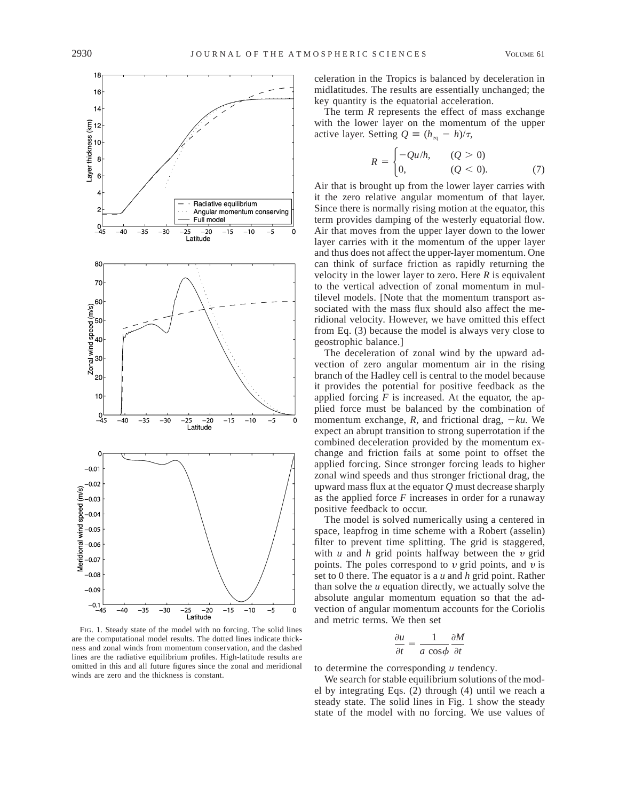

FIG. 1. Steady state of the model with no forcing. The solid lines are the computational model results. The dotted lines indicate thickness and zonal winds from momentum conservation, and the dashed lines are the radiative equilibrium profiles. High-latitude results are omitted in this and all future figures since the zonal and meridional winds are zero and the thickness is constant.

celeration in the Tropics is balanced by deceleration in midlatitudes. The results are essentially unchanged; the key quantity is the equatorial acceleration.

The term *R* represents the effect of mass exchange with the lower layer on the momentum of the upper active layer. Setting  $Q = (h_{eq} - h)/\tau$ ,

$$
R = \begin{cases} -Qu/h, & (Q > 0) \\ 0, & (Q < 0). \end{cases}
$$
 (7)

Air that is brought up from the lower layer carries with it the zero relative angular momentum of that layer. Since there is normally rising motion at the equator, this term provides damping of the westerly equatorial flow. Air that moves from the upper layer down to the lower layer carries with it the momentum of the upper layer and thus does not affect the upper-layer momentum. One can think of surface friction as rapidly returning the velocity in the lower layer to zero. Here *R* is equivalent to the vertical advection of zonal momentum in multilevel models. [Note that the momentum transport associated with the mass flux should also affect the meridional velocity. However, we have omitted this effect from Eq. (3) because the model is always very close to geostrophic balance.]

The deceleration of zonal wind by the upward advection of zero angular momentum air in the rising branch of the Hadley cell is central to the model because it provides the potential for positive feedback as the applied forcing  $F$  is increased. At the equator, the applied force must be balanced by the combination of momentum exchange,  $R$ , and frictional drag,  $-ku$ . We expect an abrupt transition to strong superrotation if the combined deceleration provided by the momentum exchange and friction fails at some point to offset the applied forcing. Since stronger forcing leads to higher zonal wind speeds and thus stronger frictional drag, the upward mass flux at the equator *Q* must decrease sharply as the applied force *F* increases in order for a runaway positive feedback to occur.

The model is solved numerically using a centered in space, leapfrog in time scheme with a Robert (asselin) filter to prevent time splitting. The grid is staggered, with  $u$  and  $h$  grid points halfway between the  $v$  grid points. The poles correspond to  $v$  grid points, and  $v$  is set to 0 there. The equator is a *u* and *h* grid point. Rather than solve the *u* equation directly, we actually solve the absolute angular momentum equation so that the advection of angular momentum accounts for the Coriolis and metric terms. We then set

$$
\frac{\partial u}{\partial t} = \frac{1}{a \cos \phi} \frac{\partial M}{\partial t}
$$

to determine the corresponding *u* tendency.

We search for stable equilibrium solutions of the model by integrating Eqs. (2) through (4) until we reach a steady state. The solid lines in Fig. 1 show the steady state of the model with no forcing. We use values of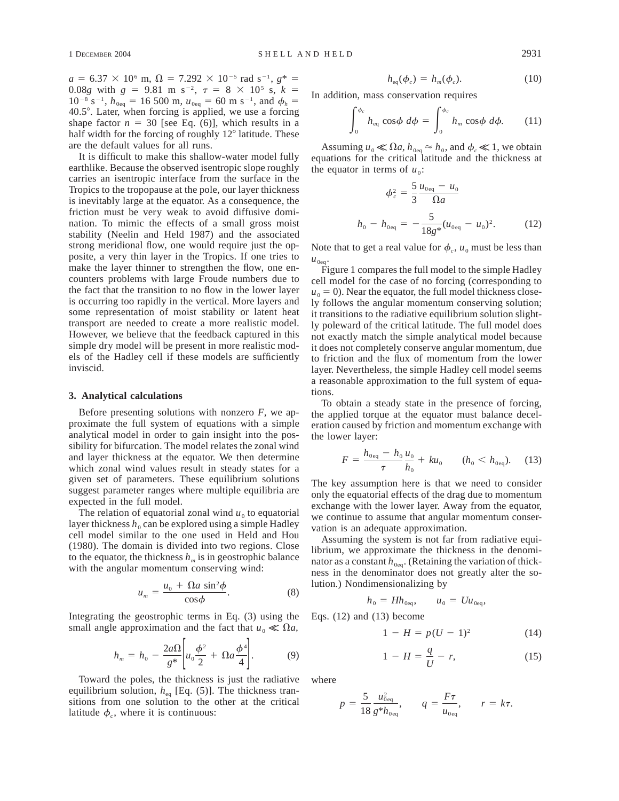$a = 6.37 \times 10^6$  m,  $\Omega = 7.292 \times 10^{-5}$  rad s<sup>-1</sup>,  $g^* =$ 0.08*g* with  $g = 9.81$  m s<sup>-2</sup>,  $\tau = 8 \times 10^5$  s,  $k =$  $10^{-8}$  s<sup>-1</sup>,  $h_{0eq}$  = 16 500 m,  $u_{0eq}$  = 60 m s<sup>-1</sup>, and  $\phi_h$  = 40.5°. Later, when forcing is applied, we use a forcing shape factor  $n = 30$  [see Eq. (6)], which results in a half width for the forcing of roughly  $12^{\circ}$  latitude. These are the default values for all runs.

It is difficult to make this shallow-water model fully earthlike. Because the observed isentropic slope roughly carries an isentropic interface from the surface in the Tropics to the tropopause at the pole, our layer thickness is inevitably large at the equator. As a consequence, the friction must be very weak to avoid diffusive domination. To mimic the effects of a small gross moist stability (Neelin and Held 1987) and the associated strong meridional flow, one would require just the opposite, a very thin layer in the Tropics. If one tries to make the layer thinner to strengthen the flow, one encounters problems with large Froude numbers due to the fact that the transition to no flow in the lower layer is occurring too rapidly in the vertical. More layers and some representation of moist stability or latent heat transport are needed to create a more realistic model. However, we believe that the feedback captured in this simple dry model will be present in more realistic models of the Hadley cell if these models are sufficiently inviscid.

#### **3. Analytical calculations**

Before presenting solutions with nonzero *F,* we approximate the full system of equations with a simple analytical model in order to gain insight into the possibility for bifurcation. The model relates the zonal wind and layer thickness at the equator. We then determine which zonal wind values result in steady states for a given set of parameters. These equilibrium solutions suggest parameter ranges where multiple equilibria are expected in the full model.

The relation of equatorial zonal wind  $u_0$  to equatorial layer thickness  $h_0$  can be explored using a simple Hadley cell model similar to the one used in Held and Hou (1980). The domain is divided into two regions. Close to the equator, the thickness  $h_m$  is in geostrophic balance with the angular momentum conserving wind:

$$
u_m = \frac{u_0 + \Omega a \sin^2 \phi}{\cos \phi}.
$$
 (8)

Integrating the geostrophic terms in Eq. (3) using the small angle approximation and the fact that  $u_0 \ll \Omega a$ ,

$$
h_m = h_0 - \frac{2a\Omega}{g^*} \bigg[ u_0 \frac{\phi^2}{2} + \Omega a \frac{\phi^4}{4} \bigg].
$$
 (9)

Toward the poles, the thickness is just the radiative equilibrium solution,  $h_{eq}$  [Eq. (5)]. The thickness transitions from one solution to the other at the critical latitude  $\phi_c$ , where it is continuous:

$$
h_{\text{eq}}(\phi_c) = h_m(\phi_c). \tag{10}
$$

In addition, mass conservation requires

$$
\int_0^{\phi_c} h_{\text{eq}} \cos \phi \ d\phi = \int_0^{\phi_c} h_m \cos \phi \ d\phi. \tag{11}
$$

Assuming  $u_0 \ll \Omega a$ ,  $h_{0\text{eq}} \approx h_0$ , and  $\phi_c \ll 1$ , we obtain equations for the critical latitude and the thickness at the equator in terms of  $u_0$ :

$$
\phi_c^2 = \frac{5}{3} \frac{u_{0\text{eq}} - u_0}{\Omega a}
$$
  

$$
h_0 - h_{0\text{eq}} = -\frac{5}{18g^*} (u_{0\text{eq}} - u_0)^2.
$$
 (12)

Note that to get a real value for  $\phi_c$ ,  $u_0$  must be less than  $u_{0eq}$ .

Figure 1 compares the full model to the simple Hadley cell model for the case of no forcing (corresponding to  $u_0 = 0$ ). Near the equator, the full model thickness closely follows the angular momentum conserving solution; it transitions to the radiative equilibrium solution slightly poleward of the critical latitude. The full model does not exactly match the simple analytical model because it does not completely conserve angular momentum, due to friction and the flux of momentum from the lower layer. Nevertheless, the simple Hadley cell model seems a reasonable approximation to the full system of equations.

To obtain a steady state in the presence of forcing, the applied torque at the equator must balance deceleration caused by friction and momentum exchange with the lower layer:

$$
F = \frac{h_{\text{0eq}} - h_0}{\tau} \frac{u_0}{h_0} + ku_0 \qquad (h_0 < h_{\text{0eq}}). \tag{13}
$$

The key assumption here is that we need to consider only the equatorial effects of the drag due to momentum exchange with the lower layer. Away from the equator, we continue to assume that angular momentum conservation is an adequate approximation.

Assuming the system is not far from radiative equilibrium, we approximate the thickness in the denominator as a constant  $h_{0eq}$ . (Retaining the variation of thickness in the denominator does not greatly alter the solution.) Nondimensionalizing by

$$
h_0 = Hh_{0\text{eq}}, \qquad u_0 = Uu_{0\text{eq}},
$$

Eqs. (12) and (13) become

$$
1 - H = p(U - 1)^2 \tag{14}
$$

$$
1 - H = \frac{q}{U} - r,\tag{15}
$$

where

$$
p = \frac{5}{18} \frac{u_{0\text{eq}}^2}{g^* h_{0\text{eq}}}, \qquad q = \frac{F\tau}{u_{0\text{eq}}}, \qquad r = k\tau.
$$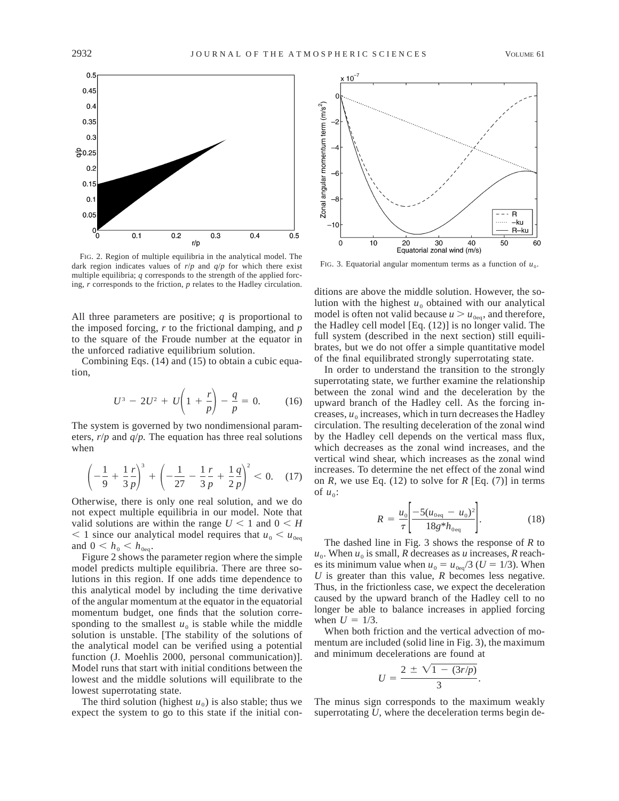

FIG. 2. Region of multiple equilibria in the analytical model. The dark region indicates values of  $r/p$  and  $q/p$  for which there exist multiple equilibria; *q* corresponds to the strength of the applied forcing, *r* corresponds to the friction, *p* relates to the Hadley circulation.

All three parameters are positive; *q* is proportional to the imposed forcing, *r* to the frictional damping, and *p* to the square of the Froude number at the equator in the unforced radiative equilibrium solution.

Combining Eqs. (14) and (15) to obtain a cubic equation,

$$
U^3 - 2U^2 + U\left(1 + \frac{r}{p}\right) - \frac{q}{p} = 0. \tag{16}
$$

The system is governed by two nondimensional parameters, *r*/*p* and *q*/*p.* The equation has three real solutions when

$$
\left(-\frac{1}{9} + \frac{1}{3}\frac{r}{p}\right)^3 + \left(-\frac{1}{27} - \frac{1}{3}\frac{r}{p} + \frac{1}{2}\frac{q}{p}\right)^2 < 0. \quad (17)
$$

Otherwise, there is only one real solution, and we do not expect multiple equilibria in our model. Note that valid solutions are within the range  $U < 1$  and  $0 < H$  $<$  1 since our analytical model requires that  $u_0 < u_{0.08}$ and  $0 < h_0 < h_{0eq}$ .

Figure 2 shows the parameter region where the simple model predicts multiple equilibria. There are three solutions in this region. If one adds time dependence to this analytical model by including the time derivative of the angular momentum at the equator in the equatorial momentum budget, one finds that the solution corresponding to the smallest  $u_0$  is stable while the middle solution is unstable. [The stability of the solutions of the analytical model can be verified using a potential function (J. Moehlis 2000, personal communication)]. Model runs that start with initial conditions between the lowest and the middle solutions will equilibrate to the lowest superrotating state.

The third solution (highest  $u_0$ ) is also stable; thus we expect the system to go to this state if the initial con-



FIG. 3. Equatorial angular momentum terms as a function of  $u_0$ .

ditions are above the middle solution. However, the solution with the highest  $u_0$  obtained with our analytical model is often not valid because  $u > u_{0eq}$ , and therefore, the Hadley cell model [Eq. (12)] is no longer valid. The full system (described in the next section) still equilibrates, but we do not offer a simple quantitative model of the final equilibrated strongly superrotating state.

In order to understand the transition to the strongly superrotating state, we further examine the relationship between the zonal wind and the deceleration by the upward branch of the Hadley cell. As the forcing increases,  $u_0$  increases, which in turn decreases the Hadley circulation. The resulting deceleration of the zonal wind by the Hadley cell depends on the vertical mass flux, which decreases as the zonal wind increases, and the vertical wind shear, which increases as the zonal wind increases. To determine the net effect of the zonal wind on *R*, we use Eq. (12) to solve for *R* [Eq. (7)] in terms of  $u_0$ :

$$
R = \frac{u_0}{\tau} \left[ \frac{-5(u_{0\text{eq}} - u_0)^2}{18g^* h_{0\text{eq}}} \right].
$$
 (18)

The dashed line in Fig. 3 shows the response of *R* to  $u_0$ . When  $u_0$  is small, *R* decreases as *u* increases, *R* reaches its minimum value when  $u_0 = u_{0\text{eq}}/3$  ( $U = 1/3$ ). When *U* is greater than this value, *R* becomes less negative. Thus, in the frictionless case, we expect the deceleration caused by the upward branch of the Hadley cell to no longer be able to balance increases in applied forcing when  $U = 1/3$ .

When both friction and the vertical advection of momentum are included (solid line in Fig. 3), the maximum and minimum decelerations are found at

$$
U = \frac{2 \pm \sqrt{1 - (3r/p)}}{3}.
$$

The minus sign corresponds to the maximum weakly superrotating *U,* where the deceleration terms begin de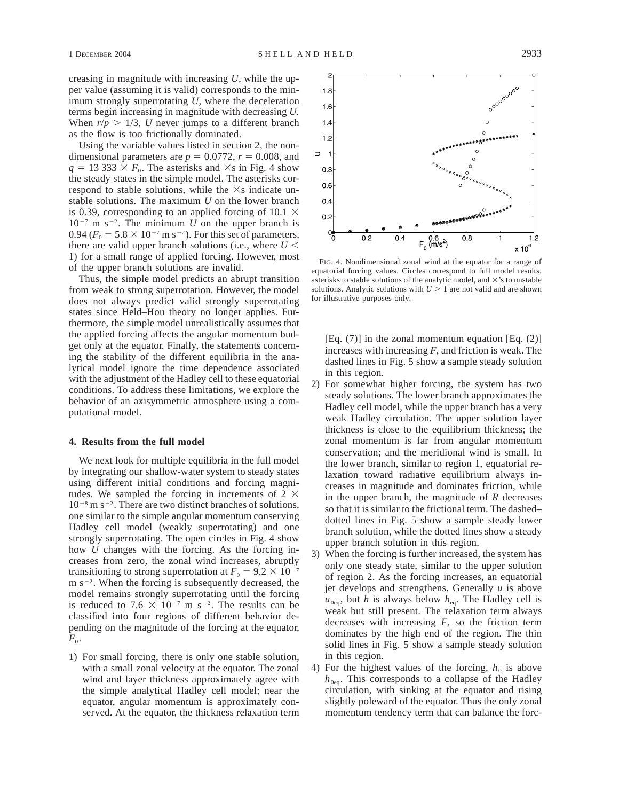creasing in magnitude with increasing *U,* while the upper value (assuming it is valid) corresponds to the minimum strongly superrotating *U,* where the deceleration terms begin increasing in magnitude with decreasing *U.* When  $r/p > 1/3$ , *U* never jumps to a different branch as the flow is too frictionally dominated.

Using the variable values listed in section 2, the nondimensional parameters are  $p = 0.0772$ ,  $r = 0.008$ , and  $q = 13333 \times F_0$ . The asterisks and  $\times$ s in Fig. 4 show the steady states in the simple model. The asterisks correspond to stable solutions, while the  $\times$ s indicate unstable solutions. The maximum *U* on the lower branch is 0.39, corresponding to an applied forcing of 10.1  $\times$  $10^{-7}$  m s<sup>-2</sup>. The minimum *U* on the upper branch is 0.94 ( $F_0 = 5.8 \times 10^{-7}$  m s<sup>-2</sup>). For this set of parameters, there are valid upper branch solutions (i.e., where  $U$  < 1) for a small range of applied forcing. However, most of the upper branch solutions are invalid.

Thus, the simple model predicts an abrupt transition from weak to strong superrotation. However, the model does not always predict valid strongly superrotating states since Held–Hou theory no longer applies. Furthermore, the simple model unrealistically assumes that the applied forcing affects the angular momentum budget only at the equator. Finally, the statements concerning the stability of the different equilibria in the analytical model ignore the time dependence associated with the adjustment of the Hadley cell to these equatorial conditions. To address these limitations, we explore the behavior of an axisymmetric atmosphere using a computational model.

#### **4. Results from the full model**

We next look for multiple equilibria in the full model by integrating our shallow-water system to steady states using different initial conditions and forcing magnitudes. We sampled the forcing in increments of  $2 \times$  $10^{-8}$  m s<sup>-2</sup>. There are two distinct branches of solutions, one similar to the simple angular momentum conserving Hadley cell model (weakly superrotating) and one strongly superrotating. The open circles in Fig. 4 show how *U* changes with the forcing. As the forcing increases from zero, the zonal wind increases, abruptly transitioning to strong superrotation at  $F_0 = 9.2 \times 10^{-7}$  $m s^{-2}$ . When the forcing is subsequently decreased, the model remains strongly superrotating until the forcing is reduced to 7.6  $\times$  10<sup>-7</sup> m s<sup>-2</sup>. The results can be classified into four regions of different behavior depending on the magnitude of the forcing at the equator,  $F_0$ .

1) For small forcing, there is only one stable solution, with a small zonal velocity at the equator. The zonal wind and layer thickness approximately agree with the simple analytical Hadley cell model; near the equator, angular momentum is approximately conserved. At the equator, the thickness relaxation term



FIG. 4. Nondimensional zonal wind at the equator for a range of equatorial forcing values. Circles correspond to full model results, asterisks to stable solutions of the analytic model, and  $\times$ 's to unstable solutions. Analytic solutions with  $U > 1$  are not valid and are shown for illustrative purposes only.

[Eq.  $(7)$ ] in the zonal momentum equation [Eq.  $(2)$ ] increases with increasing *F,* and friction is weak. The dashed lines in Fig. 5 show a sample steady solution in this region.

- 2) For somewhat higher forcing, the system has two steady solutions. The lower branch approximates the Hadley cell model, while the upper branch has a very weak Hadley circulation. The upper solution layer thickness is close to the equilibrium thickness; the zonal momentum is far from angular momentum conservation; and the meridional wind is small. In the lower branch, similar to region 1, equatorial relaxation toward radiative equilibrium always increases in magnitude and dominates friction, while in the upper branch, the magnitude of *R* decreases so that it is similar to the frictional term. The dashed– dotted lines in Fig. 5 show a sample steady lower branch solution, while the dotted lines show a steady upper branch solution in this region.
- 3) When the forcing is further increased, the system has only one steady state, similar to the upper solution of region 2. As the forcing increases, an equatorial jet develops and strengthens. Generally *u* is above  $u_{0eq}$ , but *h* is always below  $h_{eq}$ . The Hadley cell is weak but still present. The relaxation term always decreases with increasing *F,* so the friction term dominates by the high end of the region. The thin solid lines in Fig. 5 show a sample steady solution in this region.
- 4) For the highest values of the forcing,  $h_0$  is above  $h_{0eq}$ . This corresponds to a collapse of the Hadley circulation, with sinking at the equator and rising slightly poleward of the equator. Thus the only zonal momentum tendency term that can balance the forc-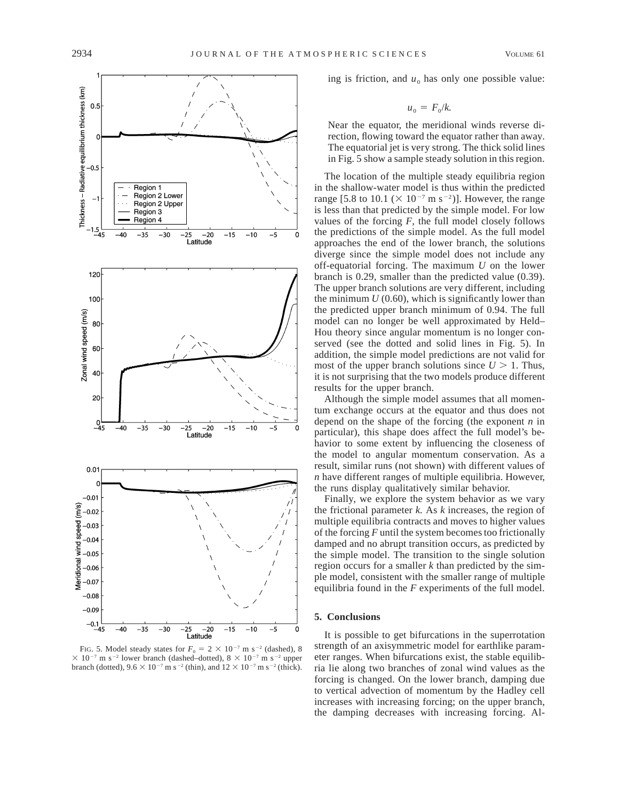

FIG. 5. Model steady states for  $F_0 = 2 \times 10^{-7}$  m s<sup>-2</sup> (dashed), 8  $\times$  10<sup>-7</sup> m s<sup>-2</sup> lower branch (dashed–dotted), 8  $\times$  10<sup>-7</sup> m s<sup>-2</sup> upper branch (dotted),  $9.6 \times 10^{-7}$  m s<sup>-2</sup> (thin), and  $12 \times 10^{-7}$  m s<sup>-2</sup> (thick).

ing is friction, and  $u_0$  has only one possible value:

$$
u_{0} = F_{0}/k.
$$

Near the equator, the meridional winds reverse direction, flowing toward the equator rather than away. The equatorial jet is very strong. The thick solid lines in Fig. 5 show a sample steady solution in this region.

The location of the multiple steady equilibria region in the shallow-water model is thus within the predicted range [5.8 to 10.1 ( $\times$  10<sup>-7</sup> m s<sup>-2</sup>)]. However, the range is less than that predicted by the simple model. For low values of the forcing  $F$ , the full model closely follows the predictions of the simple model. As the full model approaches the end of the lower branch, the solutions diverge since the simple model does not include any off-equatorial forcing. The maximum *U* on the lower branch is 0.29, smaller than the predicted value (0.39). The upper branch solutions are very different, including the minimum  $U(0.60)$ , which is significantly lower than the predicted upper branch minimum of 0.94. The full model can no longer be well approximated by Held– Hou theory since angular momentum is no longer conserved (see the dotted and solid lines in Fig. 5). In addition, the simple model predictions are not valid for most of the upper branch solutions since  $U > 1$ . Thus, it is not surprising that the two models produce different results for the upper branch.

Although the simple model assumes that all momentum exchange occurs at the equator and thus does not depend on the shape of the forcing (the exponent *n* in particular), this shape does affect the full model's behavior to some extent by influencing the closeness of the model to angular momentum conservation. As a result, similar runs (not shown) with different values of *n* have different ranges of multiple equilibria. However, the runs display qualitatively similar behavior.

Finally, we explore the system behavior as we vary the frictional parameter *k.* As *k* increases, the region of multiple equilibria contracts and moves to higher values of the forcing *F* until the system becomes too frictionally damped and no abrupt transition occurs, as predicted by the simple model. The transition to the single solution region occurs for a smaller *k* than predicted by the simple model, consistent with the smaller range of multiple equilibria found in the *F* experiments of the full model.

### **5. Conclusions**

It is possible to get bifurcations in the superrotation strength of an axisymmetric model for earthlike parameter ranges. When bifurcations exist, the stable equilibria lie along two branches of zonal wind values as the forcing is changed. On the lower branch, damping due to vertical advection of momentum by the Hadley cell increases with increasing forcing; on the upper branch, the damping decreases with increasing forcing. Al